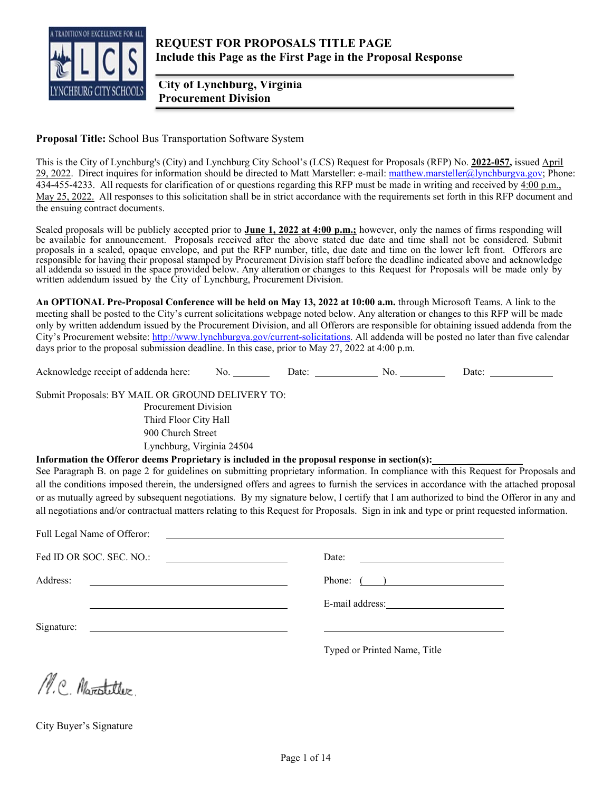

 **City of Lynchburg, Virginia Procurement Division** 

**Proposal Title:** School Bus Transportation Software System

This is the City of Lynchburg's (City) and Lynchburg City School's (LCS) Request for Proposals (RFP) No. **2022-057,** issued April 29, 2022. Direct inquires for information should be directed to Matt Marsteller: e-mail: matthew.marsteller@lynchburgva.gov; Phone: 434-455-4233. All requests for clarification of or questions regarding this RFP must be made in writing and received by  $4:00 \text{ p.m.}$ , May 25, 2022. All responses to this solicitation shall be in strict accordance with the requirements set forth in this RFP document and the ensuing contract documents.

Sealed proposals will be publicly accepted prior to **June 1, 2022 at 4:00 p.m.;** however, only the names of firms responding will be available for announcement. Proposals received after the above stated due date and time shall not be considered. Submit proposals in a sealed, opaque envelope, and put the RFP number, title, due date and time on the lower left front. Offerors are responsible for having their proposal stamped by Procurement Division staff before the deadline indicated above and acknowledge all addenda so issued in the space provided below. Any alteration or changes to this Request for Proposals will be made only by written addendum issued by the City of Lynchburg, Procurement Division.

**An OPTIONAL Pre-Proposal Conference will be held on May 13, 2022 at 10:00 a.m.** through Microsoft Teams. A link to the meeting shall be posted to the City's current solicitations webpage noted below. Any alteration or changes to this RFP will be made only by written addendum issued by the Procurement Division, and all Offerors are responsible for obtaining issued addenda from the City's Procurement website: http://www.lynchburgva.gov/current-solicitations. All addenda will be posted no later than five calendar days prior to the proposal submission deadline. In this case, prior to May 27, 2022 at 4:00 p.m.

Acknowledge receipt of addenda here: No. Date: No. Date:

Submit Proposals: BY MAIL OR GROUND DELIVERY TO: Procurement Division Third Floor City Hall 900 Church Street Lynchburg, Virginia 24504

**Information the Offeror deems Proprietary is included in the proposal response in section(s):** 

See Paragraph B. on page 2 for guidelines on submitting proprietary information. In compliance with this Request for Proposals and all the conditions imposed therein, the undersigned offers and agrees to furnish the services in accordance with the attached proposal or as mutually agreed by subsequent negotiations. By my signature below, I certify that I am authorized to bind the Offeror in any and all negotiations and/or contractual matters relating to this Request for Proposals. Sign in ink and type or print requested information.

| Full Legal Name of Offeror:<br><u> The Communication of the Communication of the Communication of the Communication of the Communication of the Co</u> |                                                        |
|--------------------------------------------------------------------------------------------------------------------------------------------------------|--------------------------------------------------------|
| Fed ID OR SOC. SEC. NO.:                                                                                                                               | Date:<br><u> 1980 - Andrea Andrew Maria (h. 1980).</u> |
| Address:<br><u> 1989 - Johann Stein, marwolaethau a bhann an t-</u>                                                                                    | Phone: $($                                             |
|                                                                                                                                                        | E-mail address:<br><u>E</u> -mail address:             |
| Signature:<br><u> 1989 - Johann Barnett, fransk politiker (d. 1989)</u>                                                                                |                                                        |
|                                                                                                                                                        | Typed or Printed Name, Title                           |
|                                                                                                                                                        |                                                        |

N.C. Marotetter

City Buyer's Signature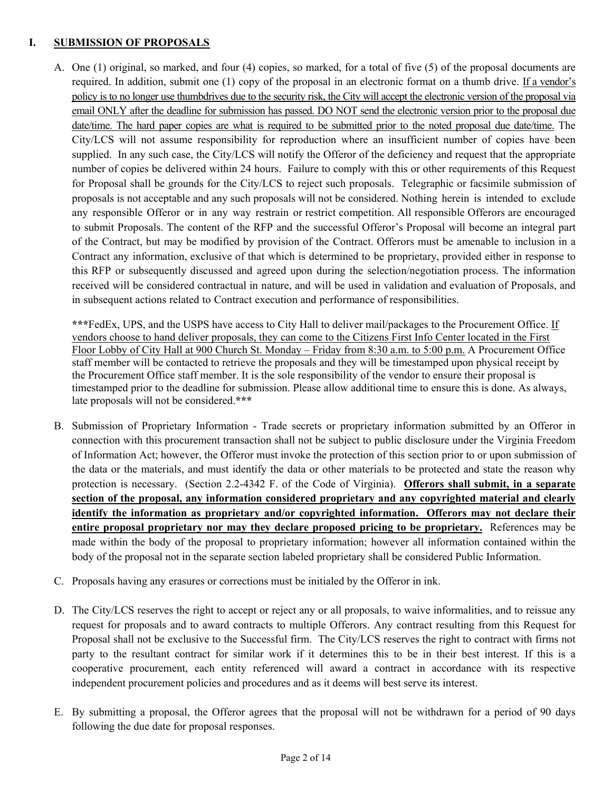## **I. SUBMISSION OF PROPOSALS**

A. One (1) original, so marked, and four (4) copies, so marked, for a total of five (5) of the proposal documents are required. In addition, submit one (1) copy of the proposal in an electronic format on a thumb drive. If a vendor's policy is to no longer use thumbdrives due to the security risk, the City will accept the electronic version of the proposal via email ONLY after the deadline for submission has passed. DO NOT send the electronic version prior to the proposal due date/time. The hard paper copies are what is required to be submitted prior to the noted proposal due date/time. The City/LCS will not assume responsibility for reproduction where an insufficient number of copies have been supplied. In any such case, the City/LCS will notify the Offeror of the deficiency and request that the appropriate number of copies be delivered within 24 hours. Failure to comply with this or other requirements of this Request for Proposal shall be grounds for the City/LCS to reject such proposals. Telegraphic or facsimile submission of proposals is not acceptable and any such proposals will not be considered. Nothing herein is intended to exclude any responsible Offeror or in any way restrain or restrict competition. All responsible Offerors are encouraged to submit Proposals. The content of the RFP and the successful Offeror's Proposal will become an integral part of the Contract, but may be modified by provision of the Contract. Offerors must be amenable to inclusion in a Contract any information, exclusive of that which is determined to be proprietary, provided either in response to this RFP or subsequently discussed and agreed upon during the selection/negotiation process. The information received will be considered contractual in nature, and will be used in validation and evaluation of Proposals, and in subsequent actions related to Contract execution and performance of responsibilities.

**\*\*\***FedEx, UPS, and the USPS have access to City Hall to deliver mail/packages to the Procurement Office. If vendors choose to hand deliver proposals, they can come to the Citizens First Info Center located in the First Floor Lobby of City Hall at 900 Church St. Monday – Friday from 8:30 a.m. to 5:00 p.m. A Procurement Office staff member will be contacted to retrieve the proposals and they will be timestamped upon physical receipt by the Procurement Office staff member. It is the sole responsibility of the vendor to ensure their proposal is timestamped prior to the deadline for submission. Please allow additional time to ensure this is done. As always, late proposals will not be considered.**\*\*\*** 

- B. Submission of Proprietary Information Trade secrets or proprietary information submitted by an Offeror in connection with this procurement transaction shall not be subject to public disclosure under the Virginia Freedom of Information Act; however, the Offeror must invoke the protection of this section prior to or upon submission of the data or the materials, and must identify the data or other materials to be protected and state the reason why protection is necessary. (Section 2.2-4342 F. of the Code of Virginia). **Offerors shall submit, in a separate section of the proposal, any information considered proprietary and any copyrighted material and clearly identify the information as proprietary and/or copyrighted information. Offerors may not declare their entire proposal proprietary nor may they declare proposed pricing to be proprietary.** References may be made within the body of the proposal to proprietary information; however all information contained within the body of the proposal not in the separate section labeled proprietary shall be considered Public Information.
- C. Proposals having any erasures or corrections must be initialed by the Offeror in ink.
- D. The City/LCS reserves the right to accept or reject any or all proposals, to waive informalities, and to reissue any request for proposals and to award contracts to multiple Offerors. Any contract resulting from this Request for Proposal shall not be exclusive to the Successful firm. The City/LCS reserves the right to contract with firms not party to the resultant contract for similar work if it determines this to be in their best interest. If this is a cooperative procurement, each entity referenced will award a contract in accordance with its respective independent procurement policies and procedures and as it deems will best serve its interest.
- E. By submitting a proposal, the Offeror agrees that the proposal will not be withdrawn for a period of 90 days following the due date for proposal responses.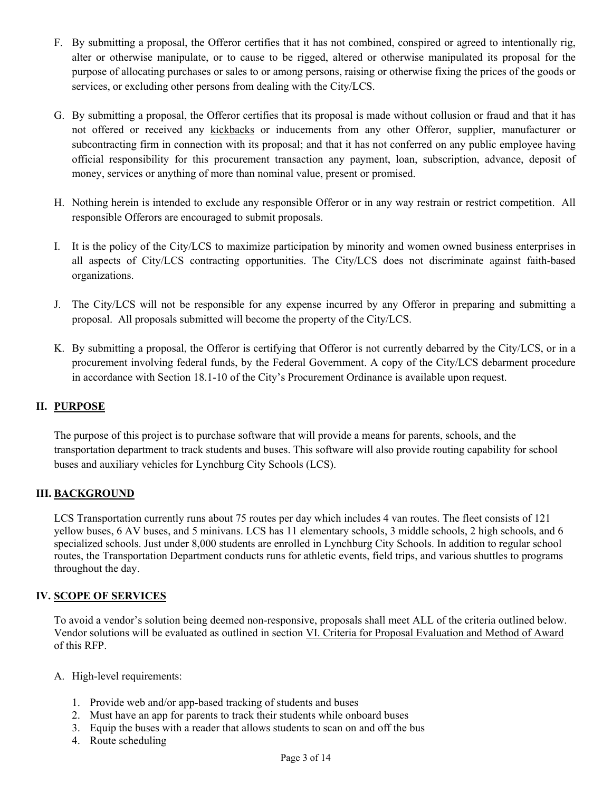- F. By submitting a proposal, the Offeror certifies that it has not combined, conspired or agreed to intentionally rig, alter or otherwise manipulate, or to cause to be rigged, altered or otherwise manipulated its proposal for the purpose of allocating purchases or sales to or among persons, raising or otherwise fixing the prices of the goods or services, or excluding other persons from dealing with the City/LCS.
- G. By submitting a proposal, the Offeror certifies that its proposal is made without collusion or fraud and that it has not offered or received any kickbacks or inducements from any other Offeror, supplier, manufacturer or subcontracting firm in connection with its proposal; and that it has not conferred on any public employee having official responsibility for this procurement transaction any payment, loan, subscription, advance, deposit of money, services or anything of more than nominal value, present or promised.
- H. Nothing herein is intended to exclude any responsible Offeror or in any way restrain or restrict competition. All responsible Offerors are encouraged to submit proposals.
- I. It is the policy of the City/LCS to maximize participation by minority and women owned business enterprises in all aspects of City/LCS contracting opportunities. The City/LCS does not discriminate against faith-based organizations.
- J. The City/LCS will not be responsible for any expense incurred by any Offeror in preparing and submitting a proposal. All proposals submitted will become the property of the City/LCS.
- K. By submitting a proposal, the Offeror is certifying that Offeror is not currently debarred by the City/LCS, or in a procurement involving federal funds, by the Federal Government. A copy of the City/LCS debarment procedure in accordance with Section 18.1-10 of the City's Procurement Ordinance is available upon request.

# **II. PURPOSE**

The purpose of this project is to purchase software that will provide a means for parents, schools, and the transportation department to track students and buses. This software will also provide routing capability for school buses and auxiliary vehicles for Lynchburg City Schools (LCS).

#### **III. BACKGROUND**

LCS Transportation currently runs about 75 routes per day which includes 4 van routes. The fleet consists of 121 yellow buses, 6 AV buses, and 5 minivans. LCS has 11 elementary schools, 3 middle schools, 2 high schools, and 6 specialized schools. Just under 8,000 students are enrolled in Lynchburg City Schools. In addition to regular school routes, the Transportation Department conducts runs for athletic events, field trips, and various shuttles to programs throughout the day.

#### **IV. SCOPE OF SERVICES**

To avoid a vendor's solution being deemed non-responsive, proposals shall meet ALL of the criteria outlined below. Vendor solutions will be evaluated as outlined in section VI. Criteria for Proposal Evaluation and Method of Award of this RFP.

- A. High-level requirements:
	- 1. Provide web and/or app-based tracking of students and buses
	- 2. Must have an app for parents to track their students while onboard buses
	- 3. Equip the buses with a reader that allows students to scan on and off the bus
	- 4. Route scheduling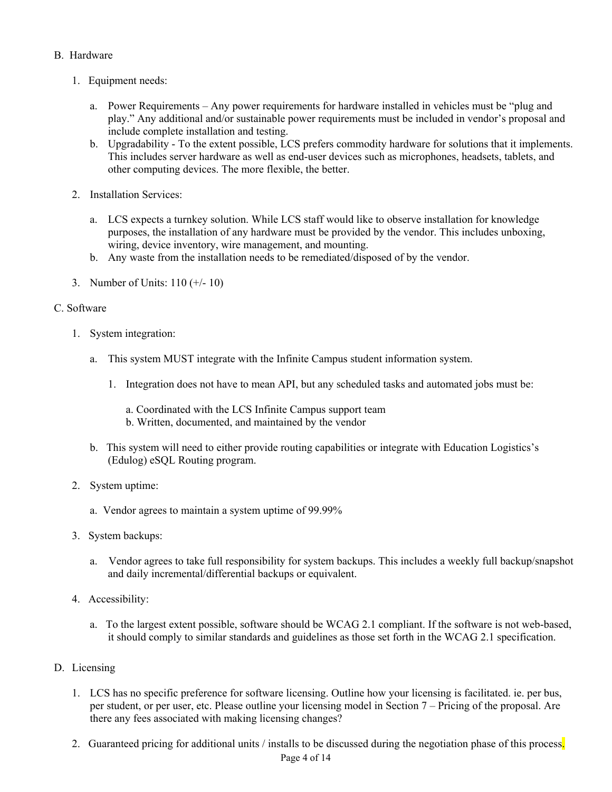### B. Hardware

- 1. Equipment needs:
	- a. Power Requirements Any power requirements for hardware installed in vehicles must be "plug and play." Any additional and/or sustainable power requirements must be included in vendor's proposal and include complete installation and testing.
	- b. Upgradability To the extent possible, LCS prefers commodity hardware for solutions that it implements. This includes server hardware as well as end-user devices such as microphones, headsets, tablets, and other computing devices. The more flexible, the better.
- 2. Installation Services:
	- a. LCS expects a turnkey solution. While LCS staff would like to observe installation for knowledge purposes, the installation of any hardware must be provided by the vendor. This includes unboxing, wiring, device inventory, wire management, and mounting.
	- b. Any waste from the installation needs to be remediated/disposed of by the vendor.
- 3. Number of Units: 110 (+/- 10)

#### C. Software

- 1. System integration:
	- a. This system MUST integrate with the Infinite Campus student information system.
		- 1. Integration does not have to mean API, but any scheduled tasks and automated jobs must be:
			- a. Coordinated with the LCS Infinite Campus support team
			- b. Written, documented, and maintained by the vendor
	- b. This system will need to either provide routing capabilities or integrate with Education Logistics's (Edulog) eSQL Routing program.
- 2. System uptime:
	- a. Vendor agrees to maintain a system uptime of 99.99%
- 3. System backups:
	- a. Vendor agrees to take full responsibility for system backups. This includes a weekly full backup/snapshot and daily incremental/differential backups or equivalent.
- 4. Accessibility:
	- a. To the largest extent possible, software should be WCAG 2.1 compliant. If the software is not web-based, it should comply to similar standards and guidelines as those set forth in the WCAG 2.1 specification.
- D. Licensing
	- 1. LCS has no specific preference for software licensing. Outline how your licensing is facilitated. ie. per bus, per student, or per user, etc. Please outline your licensing model in Section 7 – Pricing of the proposal. Are there any fees associated with making licensing changes?
	- 2. Guaranteed pricing for additional units / installs to be discussed during the negotiation phase of this process.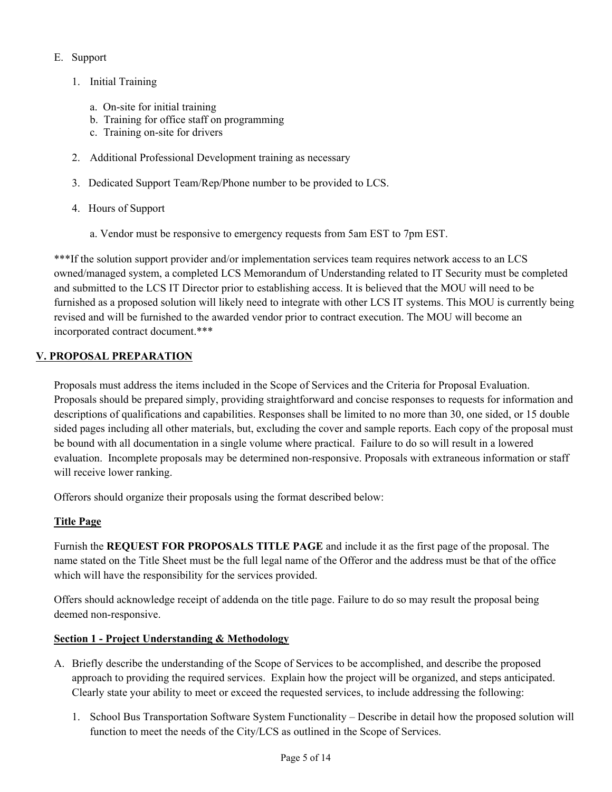## E. Support

- 1. Initial Training
	- a. On-site for initial training
	- b. Training for office staff on programming
	- c. Training on-site for drivers
- 2. Additional Professional Development training as necessary
- 3. Dedicated Support Team/Rep/Phone number to be provided to LCS.
- 4. Hours of Support
	- a. Vendor must be responsive to emergency requests from 5am EST to 7pm EST.

\*\*\*If the solution support provider and/or implementation services team requires network access to an LCS owned/managed system, a completed LCS Memorandum of Understanding related to IT Security must be completed and submitted to the LCS IT Director prior to establishing access. It is believed that the MOU will need to be furnished as a proposed solution will likely need to integrate with other LCS IT systems. This MOU is currently being revised and will be furnished to the awarded vendor prior to contract execution. The MOU will become an incorporated contract document.\*\*\*

## **V. PROPOSAL PREPARATION**

Proposals must address the items included in the Scope of Services and the Criteria for Proposal Evaluation. Proposals should be prepared simply, providing straightforward and concise responses to requests for information and descriptions of qualifications and capabilities. Responses shall be limited to no more than 30, one sided, or 15 double sided pages including all other materials, but, excluding the cover and sample reports. Each copy of the proposal must be bound with all documentation in a single volume where practical. Failure to do so will result in a lowered evaluation. Incomplete proposals may be determined non-responsive. Proposals with extraneous information or staff will receive lower ranking.

Offerors should organize their proposals using the format described below:

### **Title Page**

Furnish the **REQUEST FOR PROPOSALS TITLE PAGE** and include it as the first page of the proposal. The name stated on the Title Sheet must be the full legal name of the Offeror and the address must be that of the office which will have the responsibility for the services provided.

Offers should acknowledge receipt of addenda on the title page. Failure to do so may result the proposal being deemed non-responsive.

### **Section 1 - Project Understanding & Methodology**

- A. Briefly describe the understanding of the Scope of Services to be accomplished, and describe the proposed approach to providing the required services. Explain how the project will be organized, and steps anticipated. Clearly state your ability to meet or exceed the requested services, to include addressing the following:
	- 1. School Bus Transportation Software System Functionality Describe in detail how the proposed solution will function to meet the needs of the City/LCS as outlined in the Scope of Services.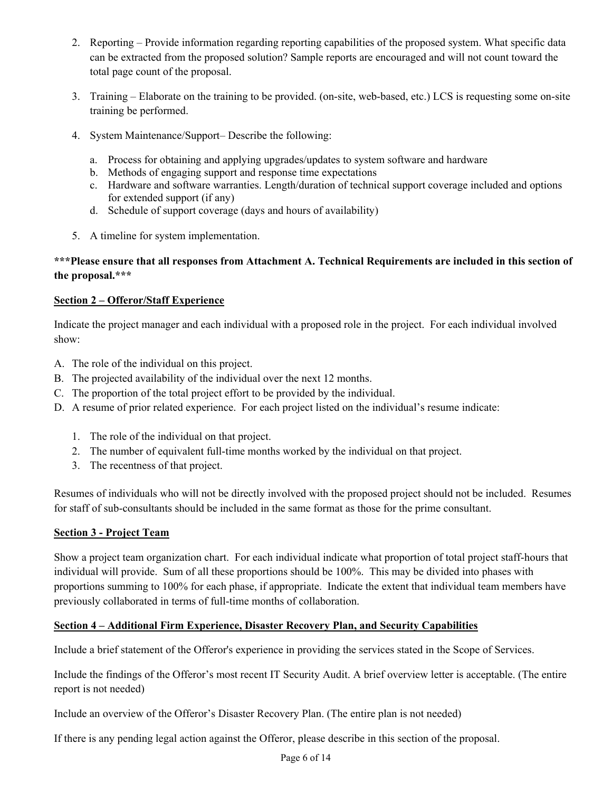- 2. Reporting Provide information regarding reporting capabilities of the proposed system. What specific data can be extracted from the proposed solution? Sample reports are encouraged and will not count toward the total page count of the proposal.
- 3. Training Elaborate on the training to be provided. (on-site, web-based, etc.) LCS is requesting some on-site training be performed.
- 4. System Maintenance/Support– Describe the following:
	- a. Process for obtaining and applying upgrades/updates to system software and hardware
	- b. Methods of engaging support and response time expectations
	- c. Hardware and software warranties. Length/duration of technical support coverage included and options for extended support (if any)
	- d. Schedule of support coverage (days and hours of availability)
- 5. A timeline for system implementation.

## **\*\*\*Please ensure that all responses from Attachment A. Technical Requirements are included in this section of the proposal.\*\*\***

## **Section 2 – Offeror/Staff Experience**

Indicate the project manager and each individual with a proposed role in the project. For each individual involved show:

- A. The role of the individual on this project.
- B. The projected availability of the individual over the next 12 months.
- C. The proportion of the total project effort to be provided by the individual.
- D. A resume of prior related experience. For each project listed on the individual's resume indicate:
	- 1. The role of the individual on that project.
	- 2. The number of equivalent full-time months worked by the individual on that project.
	- 3. The recentness of that project.

Resumes of individuals who will not be directly involved with the proposed project should not be included. Resumes for staff of sub-consultants should be included in the same format as those for the prime consultant.

### **Section 3 - Project Team**

Show a project team organization chart. For each individual indicate what proportion of total project staff-hours that individual will provide. Sum of all these proportions should be 100%. This may be divided into phases with proportions summing to 100% for each phase, if appropriate. Indicate the extent that individual team members have previously collaborated in terms of full-time months of collaboration.

### **Section 4 – Additional Firm Experience, Disaster Recovery Plan, and Security Capabilities**

Include a brief statement of the Offeror's experience in providing the services stated in the Scope of Services.

Include the findings of the Offeror's most recent IT Security Audit. A brief overview letter is acceptable. (The entire report is not needed)

Include an overview of the Offeror's Disaster Recovery Plan. (The entire plan is not needed)

If there is any pending legal action against the Offeror, please describe in this section of the proposal.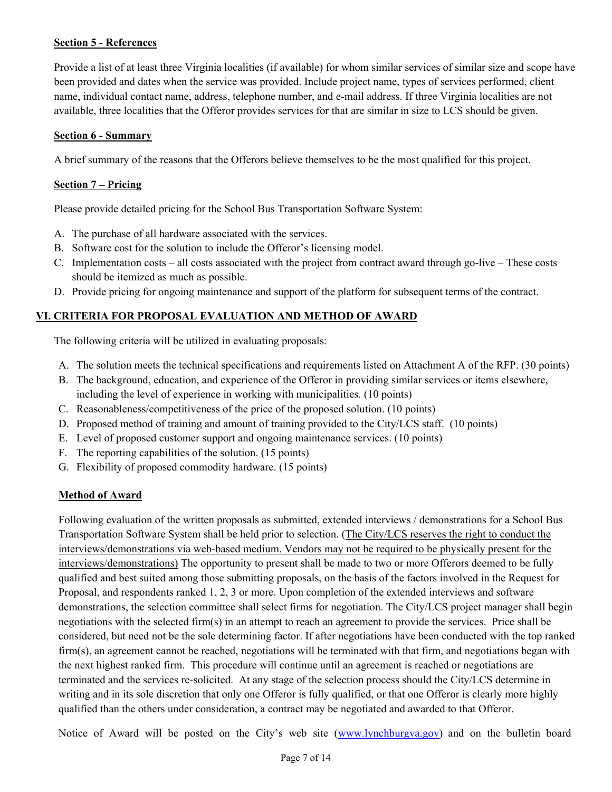### **Section 5 - References**

Provide a list of at least three Virginia localities (if available) for whom similar services of similar size and scope have been provided and dates when the service was provided. Include project name, types of services performed, client name, individual contact name, address, telephone number, and e-mail address. If three Virginia localities are not available, three localities that the Offeror provides services for that are similar in size to LCS should be given.

#### **Section 6 - Summary**

A brief summary of the reasons that the Offerors believe themselves to be the most qualified for this project.

### **Section 7 – Pricing**

Please provide detailed pricing for the School Bus Transportation Software System:

- A. The purchase of all hardware associated with the services.
- B. Software cost for the solution to include the Offeror's licensing model.
- C. Implementation costs all costs associated with the project from contract award through go-live These costs should be itemized as much as possible.
- D. Provide pricing for ongoing maintenance and support of the platform for subsequent terms of the contract.

### **VI. CRITERIA FOR PROPOSAL EVALUATION AND METHOD OF AWARD**

The following criteria will be utilized in evaluating proposals:

- A. The solution meets the technical specifications and requirements listed on Attachment A of the RFP. (30 points)
- B. The background, education, and experience of the Offeror in providing similar services or items elsewhere, including the level of experience in working with municipalities. (10 points)
- C. Reasonableness/competitiveness of the price of the proposed solution. (10 points)
- D. Proposed method of training and amount of training provided to the City/LCS staff. (10 points)
- E. Level of proposed customer support and ongoing maintenance services. (10 points)
- F. The reporting capabilities of the solution. (15 points)
- G. Flexibility of proposed commodity hardware. (15 points)

### **Method of Award**

Following evaluation of the written proposals as submitted, extended interviews / demonstrations for a School Bus Transportation Software System shall be held prior to selection. (The City/LCS reserves the right to conduct the interviews/demonstrations via web-based medium. Vendors may not be required to be physically present for the interviews/demonstrations) The opportunity to present shall be made to two or more Offerors deemed to be fully qualified and best suited among those submitting proposals, on the basis of the factors involved in the Request for Proposal, and respondents ranked 1, 2, 3 or more. Upon completion of the extended interviews and software demonstrations, the selection committee shall select firms for negotiation. The City/LCS project manager shall begin negotiations with the selected firm(s) in an attempt to reach an agreement to provide the services. Price shall be considered, but need not be the sole determining factor. If after negotiations have been conducted with the top ranked firm(s), an agreement cannot be reached, negotiations will be terminated with that firm, and negotiations began with the next highest ranked firm. This procedure will continue until an agreement is reached or negotiations are terminated and the services re-solicited. At any stage of the selection process should the City/LCS determine in writing and in its sole discretion that only one Offeror is fully qualified, or that one Offeror is clearly more highly qualified than the others under consideration, a contract may be negotiated and awarded to that Offeror.

Notice of Award will be posted on the City's web site (www.lynchburgva.gov) and on the bulletin board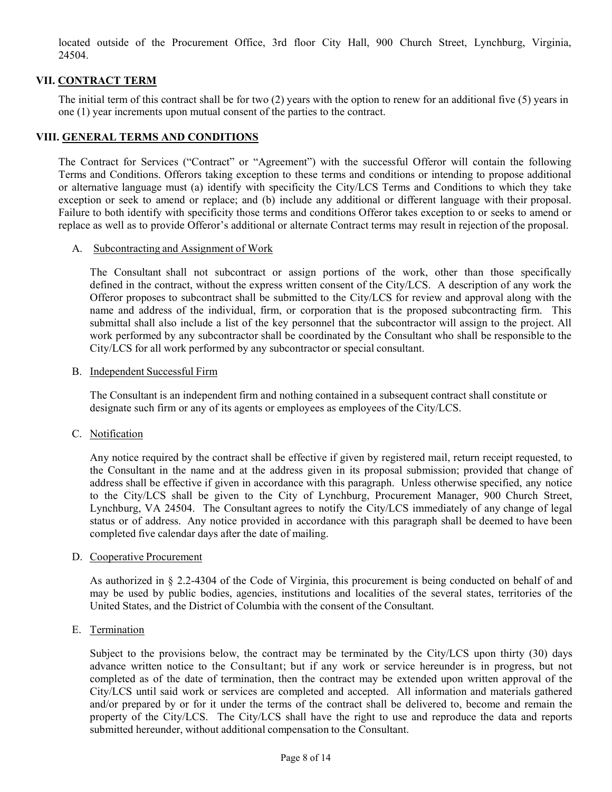located outside of the Procurement Office, 3rd floor City Hall, 900 Church Street, Lynchburg, Virginia, 24504.

### **VII. CONTRACT TERM**

The initial term of this contract shall be for two (2) years with the option to renew for an additional five (5) years in one (1) year increments upon mutual consent of the parties to the contract.

#### **VIII. GENERAL TERMS AND CONDITIONS**

The Contract for Services ("Contract" or "Agreement") with the successful Offeror will contain the following Terms and Conditions. Offerors taking exception to these terms and conditions or intending to propose additional or alternative language must (a) identify with specificity the City/LCS Terms and Conditions to which they take exception or seek to amend or replace; and (b) include any additional or different language with their proposal. Failure to both identify with specificity those terms and conditions Offeror takes exception to or seeks to amend or replace as well as to provide Offeror's additional or alternate Contract terms may result in rejection of the proposal.

#### A. Subcontracting and Assignment of Work

The Consultant shall not subcontract or assign portions of the work, other than those specifically defined in the contract, without the express written consent of the City/LCS. A description of any work the Offeror proposes to subcontract shall be submitted to the City/LCS for review and approval along with the name and address of the individual, firm, or corporation that is the proposed subcontracting firm. This submittal shall also include a list of the key personnel that the subcontractor will assign to the project. All work performed by any subcontractor shall be coordinated by the Consultant who shall be responsible to the City/LCS for all work performed by any subcontractor or special consultant.

#### B. Independent Successful Firm

The Consultant is an independent firm and nothing contained in a subsequent contract shall constitute or designate such firm or any of its agents or employees as employees of the City/LCS.

C. Notification

Any notice required by the contract shall be effective if given by registered mail, return receipt requested, to the Consultant in the name and at the address given in its proposal submission; provided that change of address shall be effective if given in accordance with this paragraph. Unless otherwise specified, any notice to the City/LCS shall be given to the City of Lynchburg, Procurement Manager, 900 Church Street, Lynchburg, VA 24504. The Consultant agrees to notify the City/LCS immediately of any change of legal status or of address. Any notice provided in accordance with this paragraph shall be deemed to have been completed five calendar days after the date of mailing.

#### D. Cooperative Procurement

As authorized in § 2.2-4304 of the Code of Virginia, this procurement is being conducted on behalf of and may be used by public bodies, agencies, institutions and localities of the several states, territories of the United States, and the District of Columbia with the consent of the Consultant.

E. Termination

Subject to the provisions below, the contract may be terminated by the City/LCS upon thirty (30) days advance written notice to the Consultant; but if any work or service hereunder is in progress, but not completed as of the date of termination, then the contract may be extended upon written approval of the City/LCS until said work or services are completed and accepted. All information and materials gathered and/or prepared by or for it under the terms of the contract shall be delivered to, become and remain the property of the City/LCS. The City/LCS shall have the right to use and reproduce the data and reports submitted hereunder, without additional compensation to the Consultant.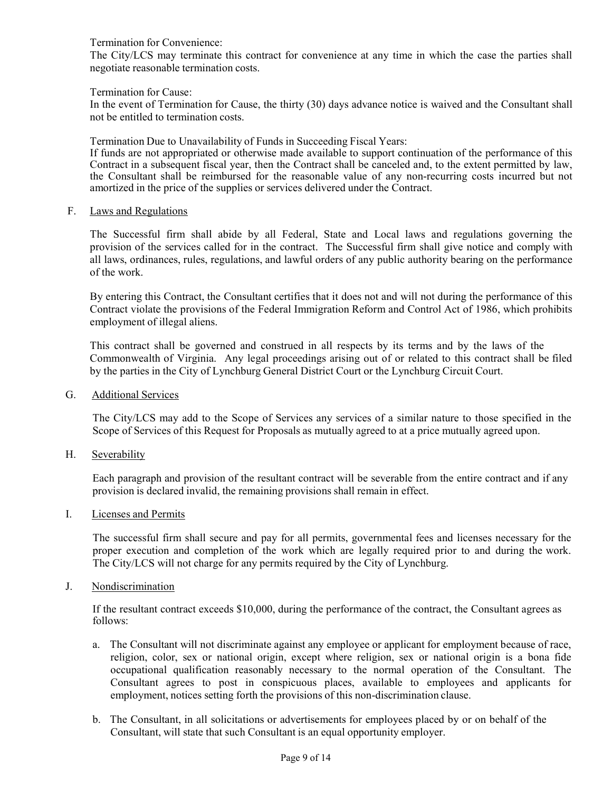Termination for Convenience:

The City/LCS may terminate this contract for convenience at any time in which the case the parties shall negotiate reasonable termination costs.

Termination for Cause:

In the event of Termination for Cause, the thirty (30) days advance notice is waived and the Consultant shall not be entitled to termination costs.

Termination Due to Unavailability of Funds in Succeeding Fiscal Years:

If funds are not appropriated or otherwise made available to support continuation of the performance of this Contract in a subsequent fiscal year, then the Contract shall be canceled and, to the extent permitted by law, the Consultant shall be reimbursed for the reasonable value of any non-recurring costs incurred but not amortized in the price of the supplies or services delivered under the Contract.

F. Laws and Regulations

The Successful firm shall abide by all Federal, State and Local laws and regulations governing the provision of the services called for in the contract. The Successful firm shall give notice and comply with all laws, ordinances, rules, regulations, and lawful orders of any public authority bearing on the performance of the work.

By entering this Contract, the Consultant certifies that it does not and will not during the performance of this Contract violate the provisions of the Federal Immigration Reform and Control Act of 1986, which prohibits employment of illegal aliens.

This contract shall be governed and construed in all respects by its terms and by the laws of the Commonwealth of Virginia. Any legal proceedings arising out of or related to this contract shall be filed by the parties in the City of Lynchburg General District Court or the Lynchburg Circuit Court.

G. Additional Services

The City/LCS may add to the Scope of Services any services of a similar nature to those specified in the Scope of Services of this Request for Proposals as mutually agreed to at a price mutually agreed upon.

H. Severability

Each paragraph and provision of the resultant contract will be severable from the entire contract and if any provision is declared invalid, the remaining provisions shall remain in effect.

I. Licenses and Permits

The successful firm shall secure and pay for all permits, governmental fees and licenses necessary for the proper execution and completion of the work which are legally required prior to and during the work. The City/LCS will not charge for any permits required by the City of Lynchburg.

J. Nondiscrimination

If the resultant contract exceeds \$10,000, during the performance of the contract, the Consultant agrees as follows:

- a. The Consultant will not discriminate against any employee or applicant for employment because of race, religion, color, sex or national origin, except where religion, sex or national origin is a bona fide occupational qualification reasonably necessary to the normal operation of the Consultant. The Consultant agrees to post in conspicuous places, available to employees and applicants for employment, notices setting forth the provisions of this non-discrimination clause.
- b. The Consultant, in all solicitations or advertisements for employees placed by or on behalf of the Consultant, will state that such Consultant is an equal opportunity employer.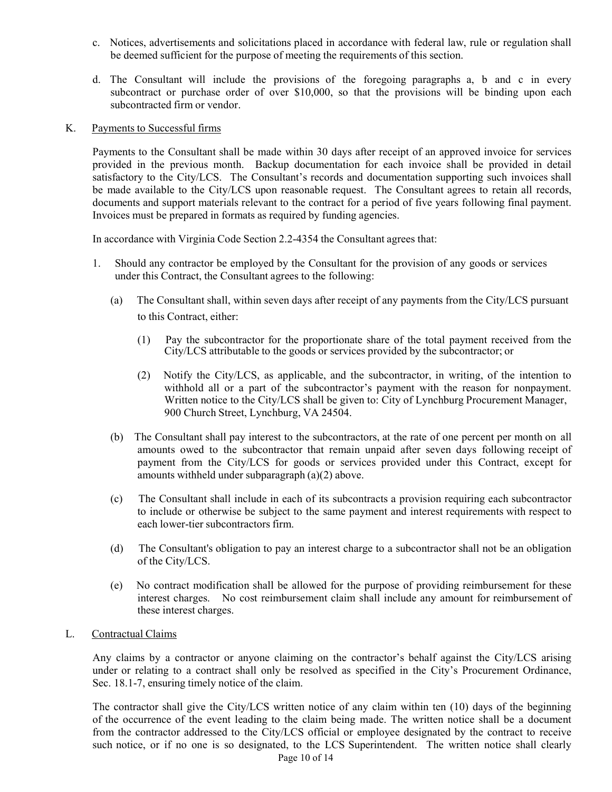- c. Notices, advertisements and solicitations placed in accordance with federal law, rule or regulation shall be deemed sufficient for the purpose of meeting the requirements of this section.
- d. The Consultant will include the provisions of the foregoing paragraphs a, b and c in every subcontract or purchase order of over \$10,000, so that the provisions will be binding upon each subcontracted firm or vendor.
- K. Payments to Successful firms

Payments to the Consultant shall be made within 30 days after receipt of an approved invoice for services provided in the previous month. Backup documentation for each invoice shall be provided in detail satisfactory to the City/LCS. The Consultant's records and documentation supporting such invoices shall be made available to the City/LCS upon reasonable request. The Consultant agrees to retain all records, documents and support materials relevant to the contract for a period of five years following final payment. Invoices must be prepared in formats as required by funding agencies.

In accordance with Virginia Code Section 2.2-4354 the Consultant agrees that:

- 1. Should any contractor be employed by the Consultant for the provision of any goods or services under this Contract, the Consultant agrees to the following:
	- (a) The Consultant shall, within seven days after receipt of any payments from the City/LCS pursuant to this Contract, either:
		- (1) Pay the subcontractor for the proportionate share of the total payment received from the City/LCS attributable to the goods or services provided by the subcontractor; or
		- (2) Notify the City/LCS, as applicable, and the subcontractor, in writing, of the intention to withhold all or a part of the subcontractor's payment with the reason for nonpayment. Written notice to the City/LCS shall be given to: City of Lynchburg Procurement Manager, 900 Church Street, Lynchburg, VA 24504.
	- (b) The Consultant shall pay interest to the subcontractors, at the rate of one percent per month on all amounts owed to the subcontractor that remain unpaid after seven days following receipt of payment from the City/LCS for goods or services provided under this Contract, except for amounts withheld under subparagraph (a)(2) above.
	- (c) The Consultant shall include in each of its subcontracts a provision requiring each subcontractor to include or otherwise be subject to the same payment and interest requirements with respect to each lower-tier subcontractors firm.
	- (d) The Consultant's obligation to pay an interest charge to a subcontractor shall not be an obligation of the City/LCS.
	- (e) No contract modification shall be allowed for the purpose of providing reimbursement for these interest charges. No cost reimbursement claim shall include any amount for reimbursement of these interest charges.
- L. Contractual Claims

Any claims by a contractor or anyone claiming on the contractor's behalf against the City/LCS arising under or relating to a contract shall only be resolved as specified in the City's Procurement Ordinance, Sec. 18.1-7, ensuring timely notice of the claim.

Page 10 of 14 The contractor shall give the City/LCS written notice of any claim within ten (10) days of the beginning of the occurrence of the event leading to the claim being made. The written notice shall be a document from the contractor addressed to the City/LCS official or employee designated by the contract to receive such notice, or if no one is so designated, to the LCS Superintendent. The written notice shall clearly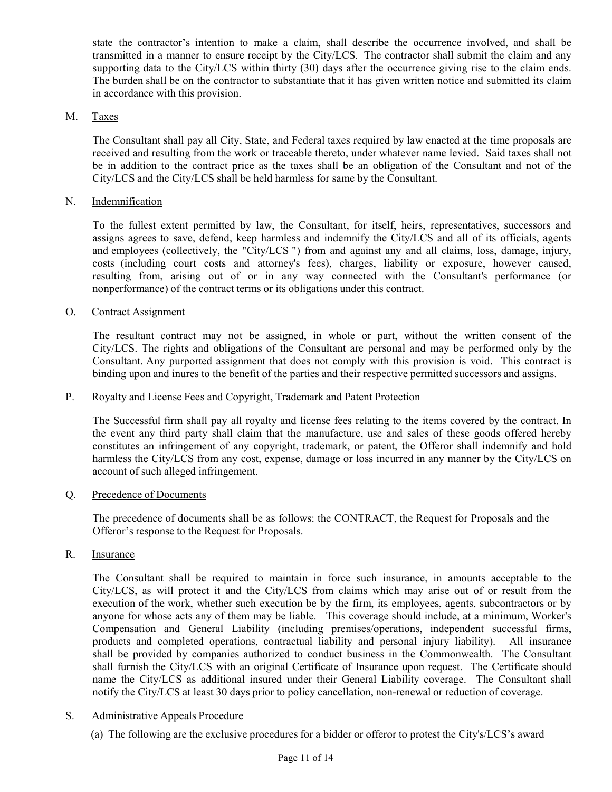state the contractor's intention to make a claim, shall describe the occurrence involved, and shall be transmitted in a manner to ensure receipt by the City/LCS. The contractor shall submit the claim and any supporting data to the City/LCS within thirty (30) days after the occurrence giving rise to the claim ends. The burden shall be on the contractor to substantiate that it has given written notice and submitted its claim in accordance with this provision.

#### M. Taxes

The Consultant shall pay all City, State, and Federal taxes required by law enacted at the time proposals are received and resulting from the work or traceable thereto, under whatever name levied. Said taxes shall not be in addition to the contract price as the taxes shall be an obligation of the Consultant and not of the City/LCS and the City/LCS shall be held harmless for same by the Consultant.

### N. Indemnification

To the fullest extent permitted by law, the Consultant, for itself, heirs, representatives, successors and assigns agrees to save, defend, keep harmless and indemnify the City/LCS and all of its officials, agents and employees (collectively, the "City/LCS ") from and against any and all claims, loss, damage, injury, costs (including court costs and attorney's fees), charges, liability or exposure, however caused, resulting from, arising out of or in any way connected with the Consultant's performance (or nonperformance) of the contract terms or its obligations under this contract.

### O. Contract Assignment

The resultant contract may not be assigned, in whole or part, without the written consent of the City/LCS. The rights and obligations of the Consultant are personal and may be performed only by the Consultant. Any purported assignment that does not comply with this provision is void. This contract is binding upon and inures to the benefit of the parties and their respective permitted successors and assigns.

#### P. Royalty and License Fees and Copyright, Trademark and Patent Protection

The Successful firm shall pay all royalty and license fees relating to the items covered by the contract. In the event any third party shall claim that the manufacture, use and sales of these goods offered hereby constitutes an infringement of any copyright, trademark, or patent, the Offeror shall indemnify and hold harmless the City/LCS from any cost, expense, damage or loss incurred in any manner by the City/LCS on account of such alleged infringement.

#### Q. Precedence of Documents

The precedence of documents shall be as follows: the CONTRACT, the Request for Proposals and the Offeror's response to the Request for Proposals.

R. Insurance

The Consultant shall be required to maintain in force such insurance, in amounts acceptable to the City/LCS, as will protect it and the City/LCS from claims which may arise out of or result from the execution of the work, whether such execution be by the firm, its employees, agents, subcontractors or by anyone for whose acts any of them may be liable. This coverage should include, at a minimum, Worker's Compensation and General Liability (including premises/operations, independent successful firms, products and completed operations, contractual liability and personal injury liability). All insurance shall be provided by companies authorized to conduct business in the Commonwealth. The Consultant shall furnish the City/LCS with an original Certificate of Insurance upon request. The Certificate should name the City/LCS as additional insured under their General Liability coverage. The Consultant shall notify the City/LCS at least 30 days prior to policy cancellation, non-renewal or reduction of coverage.

### S. Administrative Appeals Procedure

(a) The following are the exclusive procedures for a bidder or offeror to protest the City's/LCS's award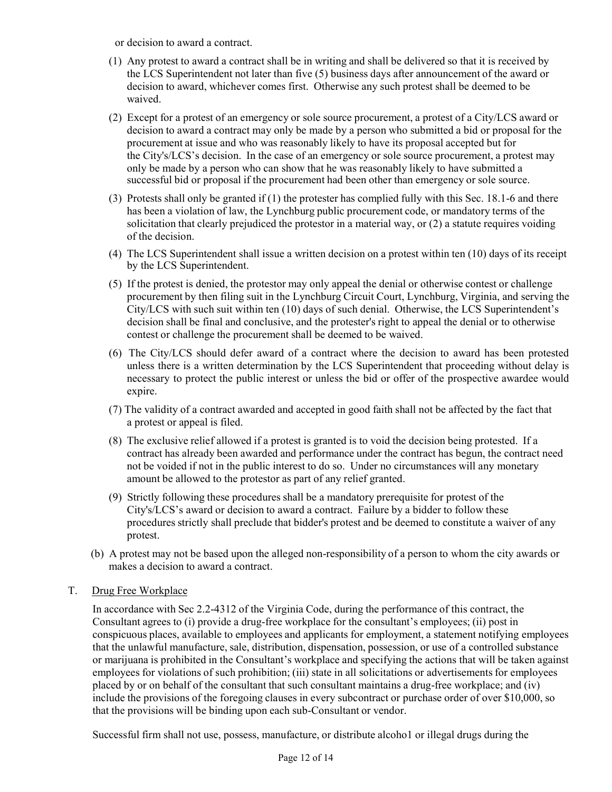or decision to award a contract.

- (1) Any protest to award a contract shall be in writing and shall be delivered so that it is received by the LCS Superintendent not later than five (5) business days after announcement of the award or decision to award, whichever comes first. Otherwise any such protest shall be deemed to be waived.
- (2) Except for a protest of an emergency or sole source procurement, a protest of a City/LCS award or decision to award a contract may only be made by a person who submitted a bid or proposal for the procurement at issue and who was reasonably likely to have its proposal accepted but for the City's/LCS's decision. In the case of an emergency or sole source procurement, a protest may only be made by a person who can show that he was reasonably likely to have submitted a successful bid or proposal if the procurement had been other than emergency or sole source.
- (3) Protests shall only be granted if (1) the protester has complied fully with this Sec. 18.1-6 and there has been a violation of law, the Lynchburg public procurement code, or mandatory terms of the solicitation that clearly prejudiced the protestor in a material way, or (2) a statute requires voiding of the decision.
- (4) The LCS Superintendent shall issue a written decision on a protest within ten (10) days of its receipt by the LCS Superintendent.
- (5) If the protest is denied, the protestor may only appeal the denial or otherwise contest or challenge procurement by then filing suit in the Lynchburg Circuit Court, Lynchburg, Virginia, and serving the City/LCS with such suit within ten (10) days of such denial. Otherwise, the LCS Superintendent's decision shall be final and conclusive, and the protester's right to appeal the denial or to otherwise contest or challenge the procurement shall be deemed to be waived.
- (6) The City/LCS should defer award of a contract where the decision to award has been protested unless there is a written determination by the LCS Superintendent that proceeding without delay is necessary to protect the public interest or unless the bid or offer of the prospective awardee would expire.
- (7) The validity of a contract awarded and accepted in good faith shall not be affected by the fact that a protest or appeal is filed.
- (8) The exclusive relief allowed if a protest is granted is to void the decision being protested. If a contract has already been awarded and performance under the contract has begun, the contract need not be voided if not in the public interest to do so. Under no circumstances will any monetary amount be allowed to the protestor as part of any relief granted.
- (9) Strictly following these procedures shall be a mandatory prerequisite for protest of the City's/LCS's award or decision to award a contract. Failure by a bidder to follow these procedures strictly shall preclude that bidder's protest and be deemed to constitute a waiver of any protest.
- (b) A protest may not be based upon the alleged non-responsibility of a person to whom the city awards or makes a decision to award a contract.
- T. Drug Free Workplace

In accordance with Sec 2.2-4312 of the Virginia Code, during the performance of this contract, the Consultant agrees to (i) provide a drug-free workplace for the consultant's employees; (ii) post in conspicuous places, available to employees and applicants for employment, a statement notifying employees that the unlawful manufacture, sale, distribution, dispensation, possession, or use of a controlled substance or marijuana is prohibited in the Consultant's workplace and specifying the actions that will be taken against employees for violations of such prohibition; (iii) state in all solicitations or advertisements for employees placed by or on behalf of the consultant that such consultant maintains a drug-free workplace; and (iv) include the provisions of the foregoing clauses in every subcontract or purchase order of over \$10,000, so that the provisions will be binding upon each sub-Consultant or vendor.

Successful firm shall not use, possess, manufacture, or distribute alcoho1 or illegal drugs during the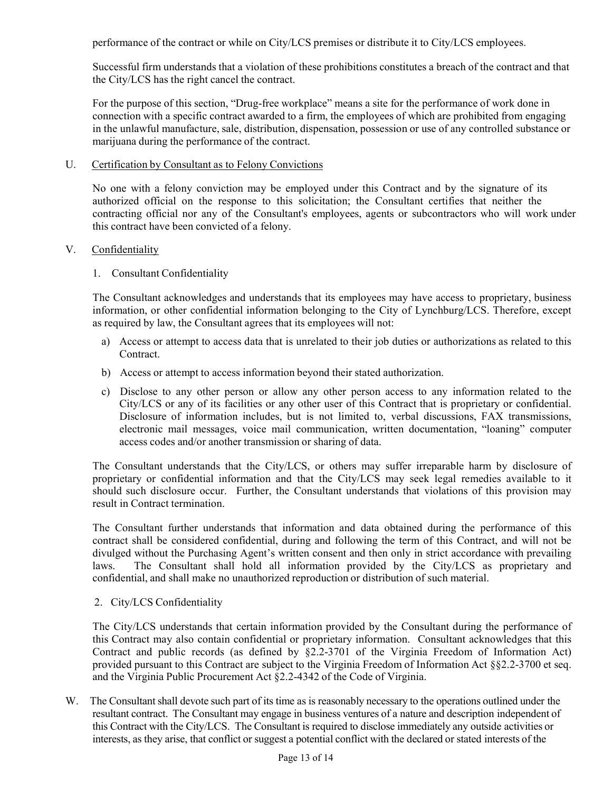performance of the contract or while on City/LCS premises or distribute it to City/LCS employees.

Successful firm understands that a violation of these prohibitions constitutes a breach of the contract and that the City/LCS has the right cancel the contract.

For the purpose of this section, "Drug-free workplace" means a site for the performance of work done in connection with a specific contract awarded to a firm, the employees of which are prohibited from engaging in the unlawful manufacture, sale, distribution, dispensation, possession or use of any controlled substance or marijuana during the performance of the contract.

#### U. Certification by Consultant as to Felony Convictions

No one with a felony conviction may be employed under this Contract and by the signature of its authorized official on the response to this solicitation; the Consultant certifies that neither the contracting official nor any of the Consultant's employees, agents or subcontractors who will work under this contract have been convicted of a felony.

#### V. Confidentiality

1. Consultant Confidentiality

The Consultant acknowledges and understands that its employees may have access to proprietary, business information, or other confidential information belonging to the City of Lynchburg/LCS. Therefore, except as required by law, the Consultant agrees that its employees will not:

- a) Access or attempt to access data that is unrelated to their job duties or authorizations as related to this Contract.
- b) Access or attempt to access information beyond their stated authorization.
- c) Disclose to any other person or allow any other person access to any information related to the City/LCS or any of its facilities or any other user of this Contract that is proprietary or confidential. Disclosure of information includes, but is not limited to, verbal discussions, FAX transmissions, electronic mail messages, voice mail communication, written documentation, "loaning" computer access codes and/or another transmission or sharing of data.

The Consultant understands that the City/LCS, or others may suffer irreparable harm by disclosure of proprietary or confidential information and that the City/LCS may seek legal remedies available to it should such disclosure occur. Further, the Consultant understands that violations of this provision may result in Contract termination.

The Consultant further understands that information and data obtained during the performance of this contract shall be considered confidential, during and following the term of this Contract, and will not be divulged without the Purchasing Agent's written consent and then only in strict accordance with prevailing laws. The Consultant shall hold all information provided by the City/LCS as proprietary and confidential, and shall make no unauthorized reproduction or distribution of such material.

#### 2. City/LCS Confidentiality

The City/LCS understands that certain information provided by the Consultant during the performance of this Contract may also contain confidential or proprietary information. Consultant acknowledges that this Contract and public records (as defined by §2.2-3701 of the Virginia Freedom of Information Act) provided pursuant to this Contract are subject to the Virginia Freedom of Information Act §§2.2-3700 et seq. and the Virginia Public Procurement Act §2.2-4342 of the Code of Virginia.

W. The Consultant shall devote such part of its time as is reasonably necessary to the operations outlined under the resultant contract. The Consultant may engage in business ventures of a nature and description independent of this Contract with the City/LCS. The Consultant is required to disclose immediately any outside activities or interests, as they arise, that conflict or suggest a potential conflict with the declared or stated interests of the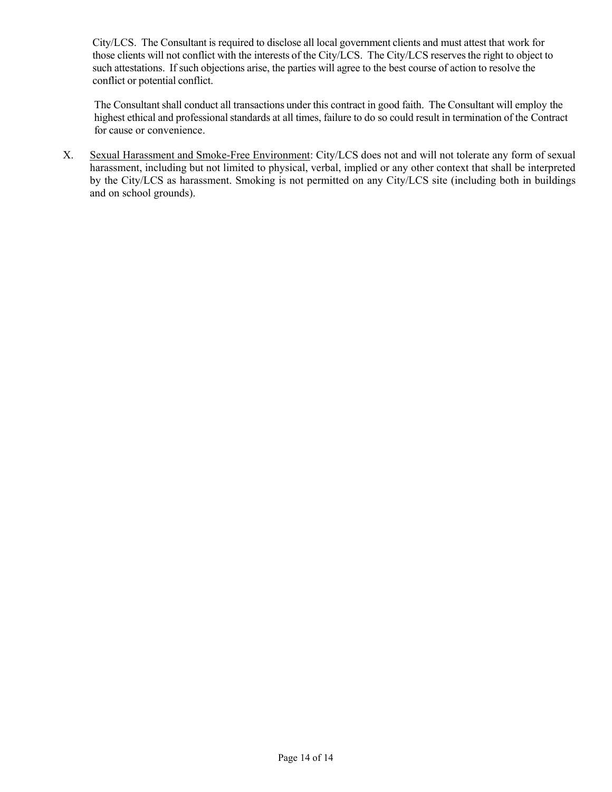City/LCS. The Consultant is required to disclose all local government clients and must attest that work for those clients will not conflict with the interests of the City/LCS. The City/LCS reserves the right to object to such attestations. If such objections arise, the parties will agree to the best course of action to resolve the conflict or potential conflict.

The Consultant shall conduct all transactions under this contract in good faith. The Consultant will employ the highest ethical and professional standards at all times, failure to do so could result in termination of the Contract for cause or convenience.

X. Sexual Harassment and Smoke-Free Environment: City/LCS does not and will not tolerate any form of sexual harassment, including but not limited to physical, verbal, implied or any other context that shall be interpreted by the City/LCS as harassment. Smoking is not permitted on any City/LCS site (including both in buildings and on school grounds).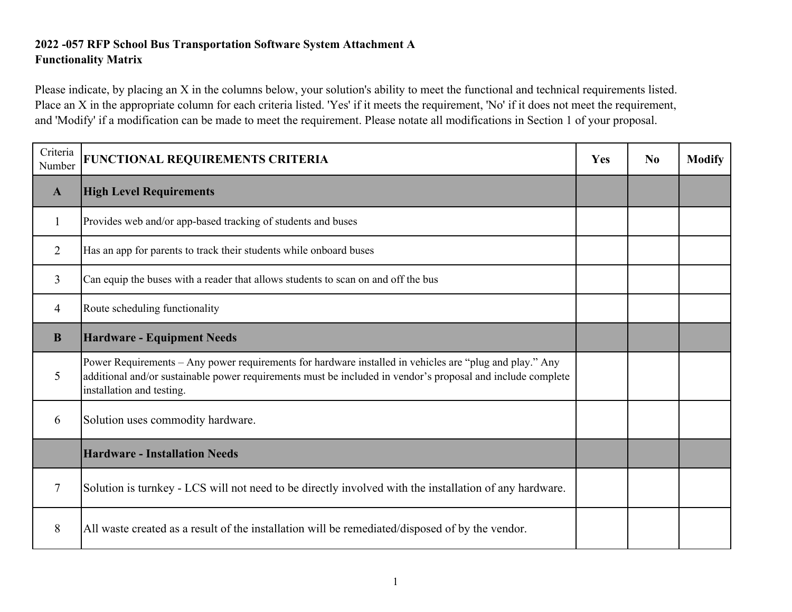# **2022 -057 RFP School Bus Transportation Software System Attachment A Functionality Matrix**

Please indicate, by placing an X in the columns below, your solution's ability to meet the functional and technical requirements listed. Place an X in the appropriate column for each criteria listed. 'Yes' if it meets the requirement, 'No' if it does not meet the requirement, and 'Modify' if a modification can be made to meet the requirement. Please notate all modifications in Section 1 of your proposal.

| Criteria<br>Number | FUNCTIONAL REQUIREMENTS CRITERIA                                                                                                                                                                                                                    | Yes | N <sub>0</sub> | <b>Modify</b> |
|--------------------|-----------------------------------------------------------------------------------------------------------------------------------------------------------------------------------------------------------------------------------------------------|-----|----------------|---------------|
| $\mathbf{A}$       | <b>High Level Requirements</b>                                                                                                                                                                                                                      |     |                |               |
| 1                  | Provides web and/or app-based tracking of students and buses                                                                                                                                                                                        |     |                |               |
| $\overline{2}$     | Has an app for parents to track their students while onboard buses                                                                                                                                                                                  |     |                |               |
| 3                  | Can equip the buses with a reader that allows students to scan on and off the bus                                                                                                                                                                   |     |                |               |
| 4                  | Route scheduling functionality                                                                                                                                                                                                                      |     |                |               |
| B                  | <b>Hardware - Equipment Needs</b>                                                                                                                                                                                                                   |     |                |               |
| 5                  | Power Requirements - Any power requirements for hardware installed in vehicles are "plug and play." Any<br>additional and/or sustainable power requirements must be included in vendor's proposal and include complete<br>installation and testing. |     |                |               |
| 6                  | Solution uses commodity hardware.                                                                                                                                                                                                                   |     |                |               |
|                    | <b>Hardware - Installation Needs</b>                                                                                                                                                                                                                |     |                |               |
| 7                  | Solution is turnkey - LCS will not need to be directly involved with the installation of any hardware.                                                                                                                                              |     |                |               |
| 8                  | All waste created as a result of the installation will be remediated/disposed of by the vendor.                                                                                                                                                     |     |                |               |